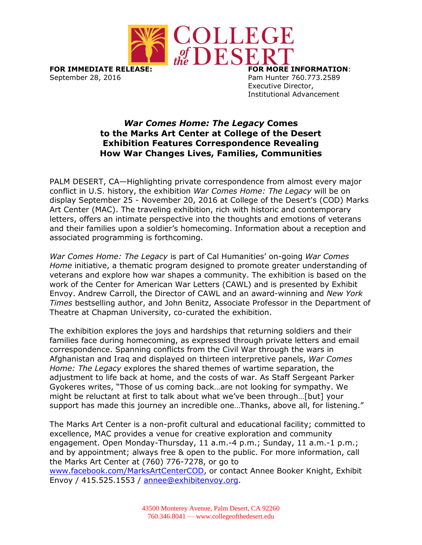

**FOR IMMEDIATE RELEASE: FOR MORE INFORMATION**: September 28, 2016 **Pam Hunter 760.773.2589** 

Executive Director, Institutional Advancement

## *War Comes Home: The Legacy* **Comes to the Marks Art Center at College of the Desert Exhibition Features Correspondence Revealing How War Changes Lives, Families, Communities**

PALM DESERT, CA—Highlighting private correspondence from almost every major conflict in U.S. history, the exhibition *War Comes Home: The Legacy* will be on display September 25 - November 20, 2016 at College of the Desert's (COD) Marks Art Center (MAC). The traveling exhibition, rich with historic and contemporary letters, offers an intimate perspective into the thoughts and emotions of veterans and their families upon a soldier's homecoming. Information about a reception and associated programming is forthcoming.

*War Comes Home: The Legacy* is part of Cal Humanities' on-going *War Comes Home* initiative, a thematic program designed to promote greater understanding of veterans and explore how war shapes a community. The exhibition is based on the work of the Center for American War Letters (CAWL) and is presented by Exhibit Envoy. Andrew Carroll, the Director of CAWL and an award-winning and *New York Times* bestselling author, and John Benitz, Associate Professor in the Department of Theatre at Chapman University, co-curated the exhibition.

The exhibition explores the joys and hardships that returning soldiers and their families face during homecoming, as expressed through private letters and email correspondence. Spanning conflicts from the Civil War through the wars in Afghanistan and Iraq and displayed on thirteen interpretive panels, *War Comes Home: The Legacy* explores the shared themes of wartime separation, the adjustment to life back at home, and the costs of war. As Staff Sergeant Parker Gyokeres writes, "Those of us coming back…are not looking for sympathy. We might be reluctant at first to talk about what we've been through…[but] your support has made this journey an incredible one…Thanks, above all, for listening."

The Marks Art Center is a non-profit cultural and educational facility; committed to excellence, MAC provides a venue for creative exploration and community engagement. Open Monday-Thursday, 11 a.m.-4 p.m.; Sunday, 11 a.m.-1 p.m.; and by appointment; always free & open to the public. For more information, call the Marks Art Center at (760) 776-7278, or go to [www.facebook.com/MarksArtCenterCOD,](http://www.facebook.com/MarksArtCenterCOD) or contact Annee Booker Knight, Exhibit Envoy / 415.525.1553 / [annee@exhibitenvoy.org.](mailto:annee@exhibitenvoy.org)